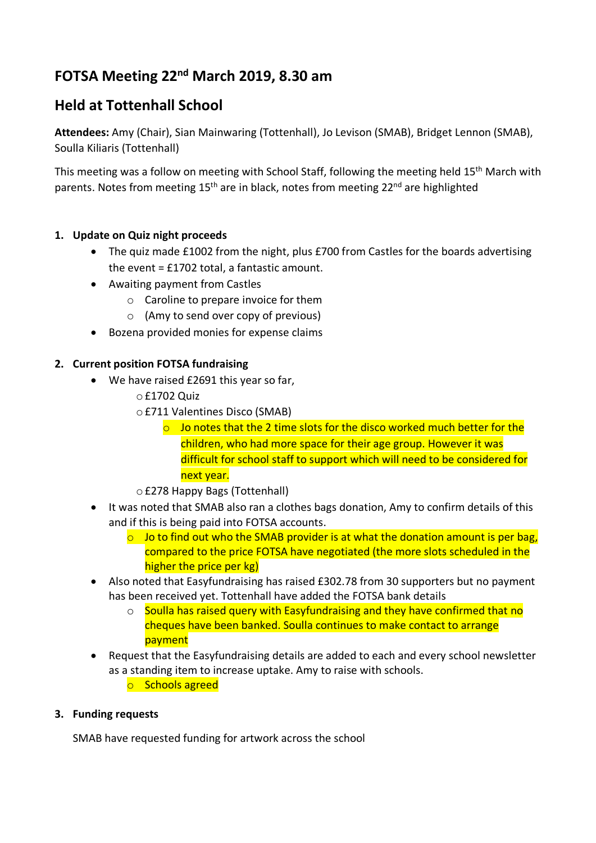# **FOTSA Meeting 22nd March 2019, 8.30 am**

# **Held at Tottenhall School**

**Attendees:** Amy (Chair), Sian Mainwaring (Tottenhall), Jo Levison (SMAB), Bridget Lennon (SMAB), Soulla Kiliaris (Tottenhall)

This meeting was a follow on meeting with School Staff, following the meeting held 15<sup>th</sup> March with parents. Notes from meeting 15<sup>th</sup> are in black, notes from meeting 22<sup>nd</sup> are highlighted

## **1. Update on Quiz night proceeds**

- The quiz made £1002 from the night, plus £700 from Castles for the boards advertising the event = £1702 total, a fantastic amount.
- Awaiting payment from Castles
	- o Caroline to prepare invoice for them
	- o (Amy to send over copy of previous)
- Bozena provided monies for expense claims

## **2. Current position FOTSA fundraising**

- We have raised £2691 this year so far,
	- o£1702 Quiz
	- o£711 Valentines Disco (SMAB)
		- $\circ$  Jo notes that the 2 time slots for the disco worked much better for the children, who had more space for their age group. However it was difficult for school staff to support which will need to be considered for next year.
	- o£278 Happy Bags (Tottenhall)
- It was noted that SMAB also ran a clothes bags donation, Amy to confirm details of this and if this is being paid into FOTSA accounts.
	- $\circ$  Jo to find out who the SMAB provider is at what the donation amount is per bag, compared to the price FOTSA have negotiated (the more slots scheduled in the higher the price per kg)
- Also noted that Easyfundraising has raised £302.78 from 30 supporters but no payment has been received yet. Tottenhall have added the FOTSA bank details
	- $\circ$  Soulla has raised query with Easyfundraising and they have confirmed that no cheques have been banked. Soulla continues to make contact to arrange payment
- Request that the Easyfundraising details are added to each and every school newsletter as a standing item to increase uptake. Amy to raise with schools. o Schools agreed
- 

## **3. Funding requests**

SMAB have requested funding for artwork across the school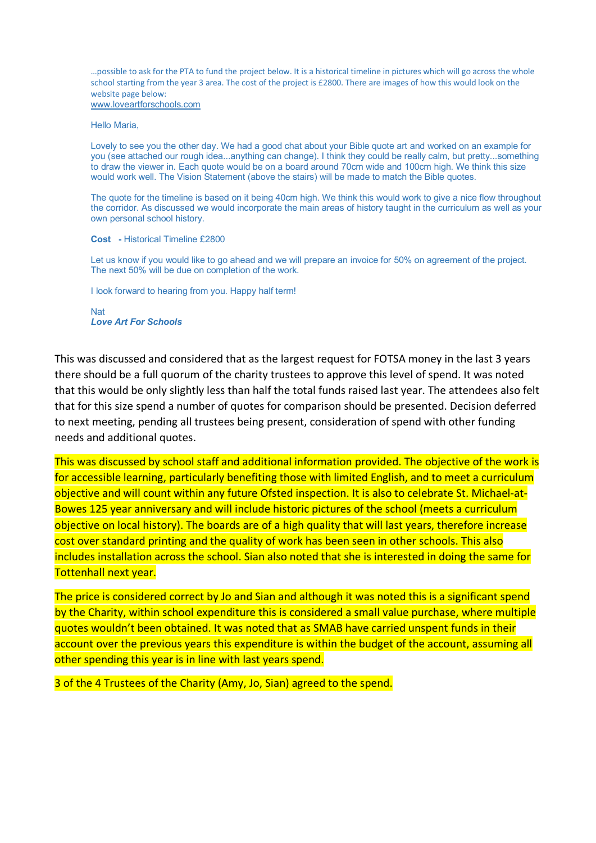…possible to ask for the PTA to fund the project below. It is a historical timeline in pictures which will go across the whole school starting from the year 3 area. The cost of the project is £2800. There are images of how this would look on the website page below: www.loveartforschools.com

Hello Maria,

Lovely to see you the other day. We had a good chat about your Bible quote art and worked on an example for you (see attached our rough idea...anything can change). I think they could be really calm, but pretty...something to draw the viewer in. Each quote would be on a board around 70cm wide and 100cm high. We think this size would work well. The Vision Statement (above the stairs) will be made to match the Bible quotes.

The quote for the timeline is based on it being 40cm high. We think this would work to give a nice flow throughout the corridor. As discussed we would incorporate the main areas of history taught in the curriculum as well as your own personal school history.

#### **Cost -** Historical Timeline £2800

Let us know if you would like to go ahead and we will prepare an invoice for 50% on agreement of the project. The next 50% will be due on completion of the work.

I look forward to hearing from you. Happy half term!

Nat *Love Art For Schools*

This was discussed and considered that as the largest request for FOTSA money in the last 3 years there should be a full quorum of the charity trustees to approve this level of spend. It was noted that this would be only slightly less than half the total funds raised last year. The attendees also felt that for this size spend a number of quotes for comparison should be presented. Decision deferred to next meeting, pending all trustees being present, consideration of spend with other funding needs and additional quotes.

This was discussed by school staff and additional information provided. The objective of the work is for accessible learning, particularly benefiting those with limited English, and to meet a curriculum objective and will count within any future Ofsted inspection. It is also to celebrate St. Michael-at-Bowes 125 year anniversary and will include historic pictures of the school (meets a curriculum objective on local history). The boards are of a high quality that will last years, therefore increase cost over standard printing and the quality of work has been seen in other schools. This also includes installation across the school. Sian also noted that she is interested in doing the same for Tottenhall next year.

The price is considered correct by Jo and Sian and although it was noted this is a significant spend by the Charity, within school expenditure this is considered a small value purchase, where multiple quotes wouldn't been obtained. It was noted that as SMAB have carried unspent funds in their account over the previous years this expenditure is within the budget of the account, assuming all other spending this year is in line with last years spend.

3 of the 4 Trustees of the Charity (Amy, Jo, Sian) agreed to the spend.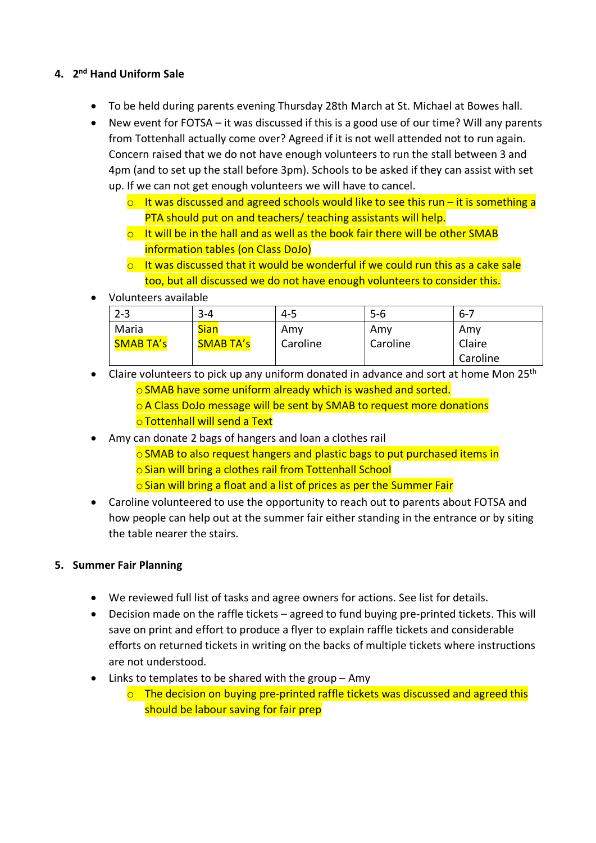## **4. 2nd Hand Uniform Sale**

- To be held during parents evening Thursday 28th March at St. Michael at Bowes hall.
- New event for FOTSA it was discussed if this is a good use of our time? Will any parents from Tottenhall actually come over? Agreed if it is not well attended not to run again. Concern raised that we do not have enough volunteers to run the stall between 3 and 4pm (and to set up the stall before 3pm). Schools to be asked if they can assist with set up. If we can not get enough volunteers we will have to cancel.
	- $\circ$  It was discussed and agreed schools would like to see this run it is something a PTA should put on and teachers/ teaching assistants will help.
	- $\circ$  It will be in the hall and as well as the book fair there will be other SMAB information tables (on Class DoJo)
	- $\circ$  It was discussed that it would be wonderful if we could run this as a cake sale too, but all discussed we do not have enough volunteers to consider this.
- Volunteers available

| $2 - 3$          | $3 - 4$          | $4 - 5$  | 5-6      | $-6 - 7$ |
|------------------|------------------|----------|----------|----------|
| Maria            | <b>Sian</b>      | Amy      | Amy      | Amy      |
| <b>SMAB TA's</b> | <b>SMAB TA's</b> | Caroline | Caroline | Claire   |
|                  |                  |          |          | Caroline |

• Claire volunteers to pick up any uniform donated in advance and sort at home Mon  $25<sup>th</sup>$ oSMAB have some uniform already which is washed and sorted. oA Class DoJo message will be sent by SMAB to request more donations o Tottenhall will send a Text

- Amy can donate 2 bags of hangers and loan a clothes rail
	- oSMAB to also request hangers and plastic bags to put purchased items in oSian will bring a clothes rail from Tottenhall School
	- $\circ$  Sian will bring a float and a list of prices as per the Summer Fair
- Caroline volunteered to use the opportunity to reach out to parents about FOTSA and how people can help out at the summer fair either standing in the entrance or by siting the table nearer the stairs.

## **5. Summer Fair Planning**

- We reviewed full list of tasks and agree owners for actions. See list for details.
- Decision made on the raffle tickets agreed to fund buying pre-printed tickets. This will save on print and effort to produce a flyer to explain raffle tickets and considerable efforts on returned tickets in writing on the backs of multiple tickets where instructions are not understood.
- Links to templates to be shared with the group Amy
	- o The decision on buying pre-printed raffle tickets was discussed and agreed this should be labour saving for fair prep